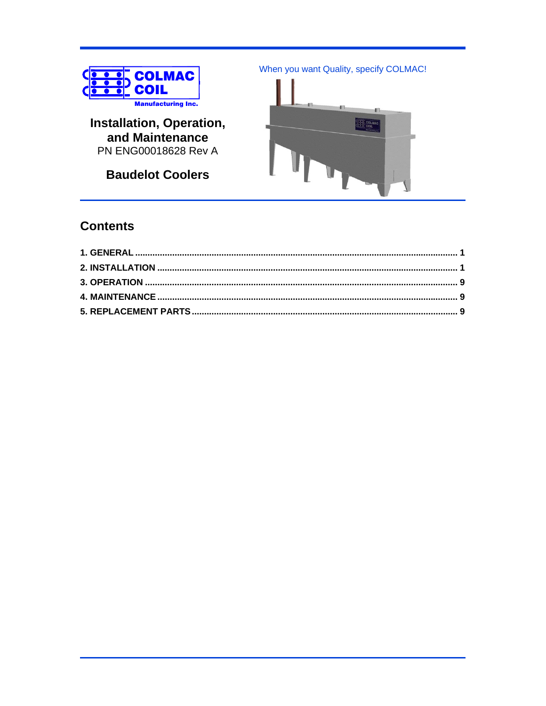

Installation, Operation, and Maintenance PN ENG00018628 Rev A

**Baudelot Coolers** 

When you want Quality, specify COLMAC!



# **Contents**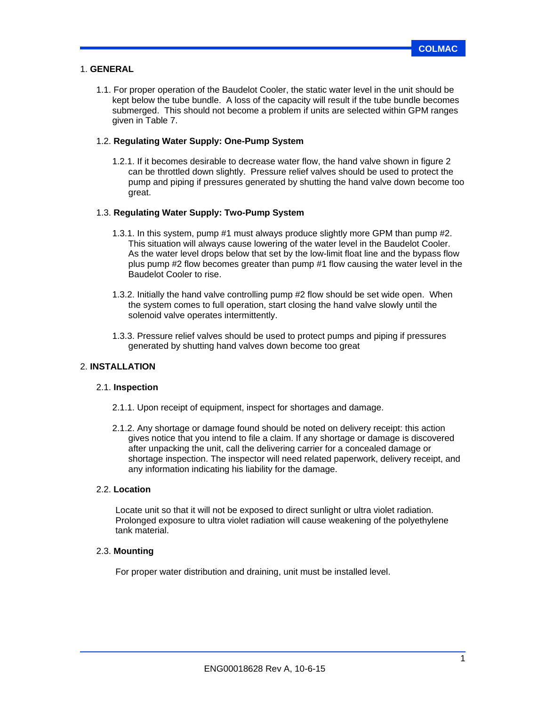#### 1. **GENERAL**

1.1. For proper operation of the Baudelot Cooler, the static water level in the unit should be kept below the tube bundle. A loss of the capacity will result if the tube bundle becomes submerged. This should not become a problem if units are selected within GPM ranges given in Table 7.

#### 1.2. **Regulating Water Supply: One-Pump System**

1.2.1. If it becomes desirable to decrease water flow, the hand valve shown in figure 2 can be throttled down slightly. Pressure relief valves should be used to protect the pump and piping if pressures generated by shutting the hand valve down become too great.

#### 1.3. **Regulating Water Supply: Two-Pump System**

- 1.3.1. In this system, pump #1 must always produce slightly more GPM than pump #2. This situation will always cause lowering of the water level in the Baudelot Cooler. As the water level drops below that set by the low-limit float line and the bypass flow plus pump #2 flow becomes greater than pump #1 flow causing the water level in the Baudelot Cooler to rise.
- 1.3.2. Initially the hand valve controlling pump #2 flow should be set wide open. When the system comes to full operation, start closing the hand valve slowly until the solenoid valve operates intermittently.
- 1.3.3. Pressure relief valves should be used to protect pumps and piping if pressures generated by shutting hand valves down become too great

### 2. **INSTALLATION**

#### 2.1. **Inspection**

- 2.1.1. Upon receipt of equipment, inspect for shortages and damage.
- 2.1.2. Any shortage or damage found should be noted on delivery receipt: this action gives notice that you intend to file a claim. If any shortage or damage is discovered after unpacking the unit, call the delivering carrier for a concealed damage or shortage inspection. The inspector will need related paperwork, delivery receipt, and any information indicating his liability for the damage.

#### 2.2. **Location**

Locate unit so that it will not be exposed to direct sunlight or ultra violet radiation. Prolonged exposure to ultra violet radiation will cause weakening of the polyethylene tank material.

### 2.3. **Mounting**

For proper water distribution and draining, unit must be installed level.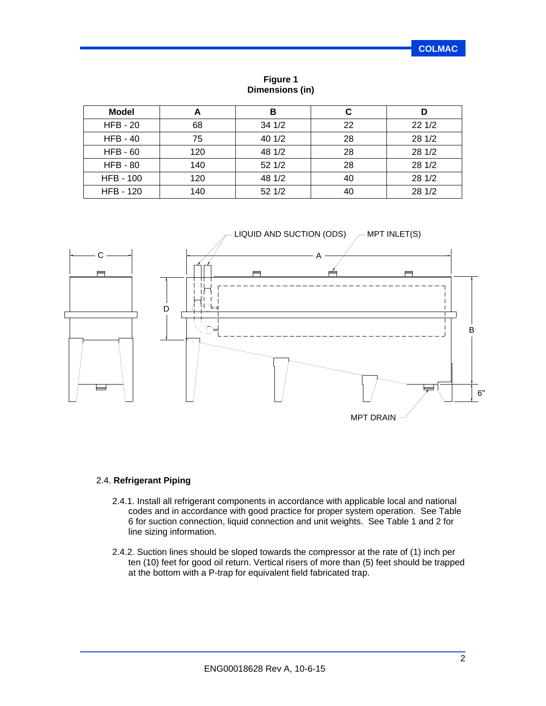| <b>Model</b>     | А   | в      | С  |        |
|------------------|-----|--------|----|--------|
| $HFB - 20$       | 68  | 34 1/2 | 22 | 221/2  |
| $HFB - 40$       | 75  | 40 1/2 | 28 | 28 1/2 |
| $HFB - 60$       | 120 | 48 1/2 | 28 | 28 1/2 |
| <b>HFB - 80</b>  | 140 | 521/2  | 28 | 28 1/2 |
| <b>HFB - 100</b> | 120 | 48 1/2 | 40 | 28 1/2 |
| <b>HFB - 120</b> | 140 | 521/2  | 40 | 28 1/2 |

**Figure 1 Dimensions (in)**



### 2.4. **Refrigerant Piping**

- 2.4.1. Install all refrigerant components in accordance with applicable local and national codes and in accordance with good practice for proper system operation. See Table 6 for suction connection, liquid connection and unit weights. See Table 1 and 2 for line sizing information.
- 2.4.2. Suction lines should be sloped towards the compressor at the rate of (1) inch per ten (10) feet for good oil return. Vertical risers of more than (5) feet should be trapped at the bottom with a P-trap for equivalent field fabricated trap.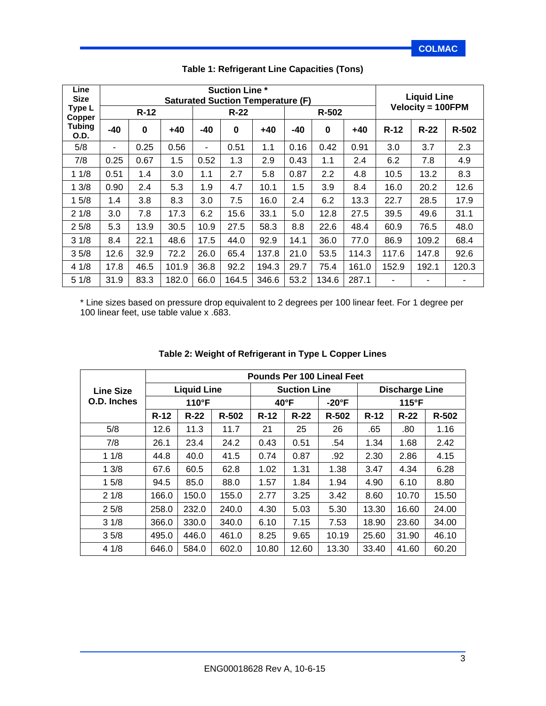| Line<br><b>Size</b> |       | <b>Suction Line *</b><br><b>Saturated Suction Temperature (F)</b> |       |       |             |       |      |          |       |                          |        | <b>Liquid Line</b> |  |
|---------------------|-------|-------------------------------------------------------------------|-------|-------|-------------|-------|------|----------|-------|--------------------------|--------|--------------------|--|
| Type L<br>Copper    |       | $R-12$                                                            |       |       | $R-22$      | R-502 |      |          |       | <b>Velocity = 100FPM</b> |        |                    |  |
| Tubing<br>O.D.      | $-40$ | $\bf{0}$                                                          | $+40$ | $-40$ | $\mathbf 0$ | $+40$ | -40  | $\bf{0}$ | $+40$ | $R-12$                   | $R-22$ | R-502              |  |
| 5/8                 | ۰     | 0.25                                                              | 0.56  | ۰     | 0.51        | 1.1   | 0.16 | 0.42     | 0.91  | 3.0                      | 3.7    | 2.3                |  |
| 7/8                 | 0.25  | 0.67                                                              | 1.5   | 0.52  | 1.3         | 2.9   | 0.43 | 1.1      | 2.4   | 6.2                      | 7.8    | 4.9                |  |
| 11/8                | 0.51  | 1.4                                                               | 3.0   | 1.1   | 2.7         | 5.8   | 0.87 | 2.2      | 4.8   | 10.5                     | 13.2   | 8.3                |  |
| 13/8                | 0.90  | 2.4                                                               | 5.3   | 1.9   | 4.7         | 10.1  | 1.5  | 3.9      | 8.4   | 16.0                     | 20.2   | 12.6               |  |
| 15/8                | 1.4   | 3.8                                                               | 8.3   | 3.0   | 7.5         | 16.0  | 2.4  | 6.2      | 13.3  | 22.7                     | 28.5   | 17.9               |  |
| 21/8                | 3.0   | 7.8                                                               | 17.3  | 6.2   | 15.6        | 33.1  | 5.0  | 12.8     | 27.5  | 39.5                     | 49.6   | 31.1               |  |
| 25/8                | 5.3   | 13.9                                                              | 30.5  | 10.9  | 27.5        | 58.3  | 8.8  | 22.6     | 48.4  | 60.9                     | 76.5   | 48.0               |  |
| 31/8                | 8.4   | 22.1                                                              | 48.6  | 17.5  | 44.0        | 92.9  | 14.1 | 36.0     | 77.0  | 86.9                     | 109.2  | 68.4               |  |
| 35/8                | 12.6  | 32.9                                                              | 72.2  | 26.0  | 65.4        | 137.8 | 21.0 | 53.5     | 114.3 | 117.6                    | 147.8  | 92.6               |  |
| 41/8                | 17.8  | 46.5                                                              | 101.9 | 36.8  | 92.2        | 194.3 | 29.7 | 75.4     | 161.0 | 152.9                    | 192.1  | 120.3              |  |
| 51/8                | 31.9  | 83.3                                                              | 182.0 | 66.0  | 164.5       | 346.6 | 53.2 | 134.6    | 287.1 | ٠                        | ۰      | ۰                  |  |

### **Table 1: Refrigerant Line Capacities (Tons)**

\* Line sizes based on pressure drop equivalent to 2 degrees per 100 linear feet. For 1 degree per 100 linear feet, use table value x .683.

|             | <b>Pounds Per 100 Lineal Feet</b> |                    |       |        |                     |               |               |                       |           |  |  |
|-------------|-----------------------------------|--------------------|-------|--------|---------------------|---------------|---------------|-----------------------|-----------|--|--|
| Line Size   |                                   | <b>Liquid Line</b> |       |        | <b>Suction Line</b> |               |               | <b>Discharge Line</b> |           |  |  |
| O.D. Inches | $110^{\circ}F$                    |                    |       |        | $40^{\circ}$ F      | $-20^\circ F$ | $115^\circ F$ |                       |           |  |  |
|             | $R-12$                            | $R-22$             | R-502 | $R-12$ | $R-22$              | R-502         | $R-12$        | $R-22$                | $R - 502$ |  |  |
| 5/8         | 12.6                              | 11.3               | 11.7  | 21     | 25                  | 26            | .65           | .80                   | 1.16      |  |  |
| 7/8         | 26.1                              | 23.4               | 24.2  | 0.43   | 0.51                | .54           | 1.34          | 1.68                  | 2.42      |  |  |
| 11/8        | 44.8                              | 40.0               | 41.5  | 0.74   | 0.87                | .92           | 2.30          | 2.86                  | 4.15      |  |  |
| 13/8        | 67.6                              | 60.5               | 62.8  | 1.02   | 1.31                | 1.38          | 3.47          | 4.34                  | 6.28      |  |  |
| 15/8        | 94.5                              | 85.0               | 88.0  | 1.57   | 1.84                | 1.94          | 4.90          | 6.10                  | 8.80      |  |  |
| 21/8        | 166.0                             | 150.0              | 155.0 | 2.77   | 3.25                | 3.42          | 8.60          | 10.70                 | 15.50     |  |  |
| 25/8        | 258.0                             | 232.0              | 240.0 | 4.30   | 5.03                | 5.30          | 13.30         | 16.60                 | 24.00     |  |  |
| 31/8        | 366.0                             | 330.0              | 340.0 | 6.10   | 7.15                | 7.53          | 18.90         | 23.60                 | 34.00     |  |  |
| 35/8        | 495.0                             | 446.0              | 461.0 | 8.25   | 9.65                | 10.19         | 25.60         | 31.90                 | 46.10     |  |  |
| 41/8        | 646.0                             | 584.0              | 602.0 | 10.80  | 12.60               | 13.30         | 33.40         | 41.60                 | 60.20     |  |  |

### **Table 2: Weight of Refrigerant in Type L Copper Lines**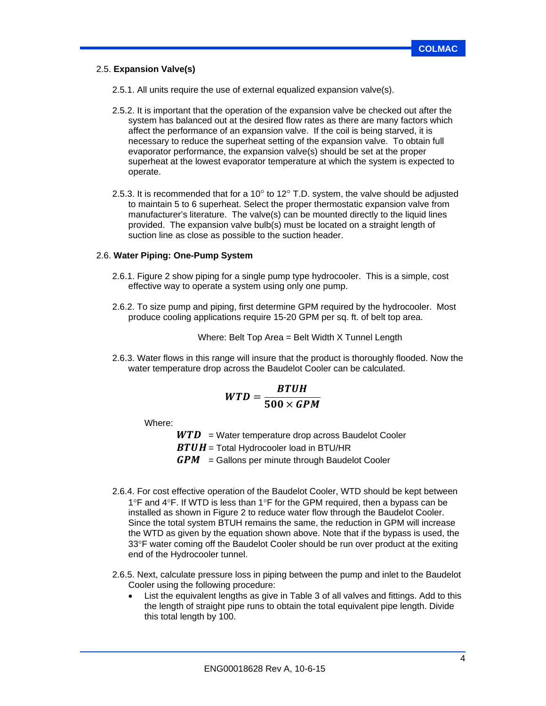### 2.5. **Expansion Valve(s)**

2.5.1. All units require the use of external equalized expansion valve(s).

- 2.5.2. It is important that the operation of the expansion valve be checked out after the system has balanced out at the desired flow rates as there are many factors which affect the performance of an expansion valve. If the coil is being starved, it is necessary to reduce the superheat setting of the expansion valve. To obtain full evaporator performance, the expansion valve(s) should be set at the proper superheat at the lowest evaporator temperature at which the system is expected to operate.
- 2.5.3. It is recommended that for a 10 $^{\circ}$  to 12 $^{\circ}$  T.D. system, the valve should be adjusted to maintain 5 to 6 superheat. Select the proper thermostatic expansion valve from manufacturer's literature. The valve(s) can be mounted directly to the liquid lines provided. The expansion valve bulb(s) must be located on a straight length of suction line as close as possible to the suction header.

### 2.6. **Water Piping: One-Pump System**

- 2.6.1. Figure 2 show piping for a single pump type hydrocooler. This is a simple, cost effective way to operate a system using only one pump.
- 2.6.2. To size pump and piping, first determine GPM required by the hydrocooler. Most produce cooling applications require 15-20 GPM per sq. ft. of belt top area.

Where: Belt Top Area = Belt Width X Tunnel Length

2.6.3. Water flows in this range will insure that the product is thoroughly flooded. Now the water temperature drop across the Baudelot Cooler can be calculated.

$$
WTD = \frac{BTUH}{500 \times GPM}
$$

Where:

 $WTD = Water$  temperature drop across Baudelot Cooler  $BTUH = \text{Total Hydrocooler load in BTU/HR}$  $GPM =$  Gallons per minute through Baudelot Cooler

- 2.6.4. For cost effective operation of the Baudelot Cooler, WTD should be kept between 1°F and 4°F. If WTD is less than 1°F for the GPM required, then a bypass can be installed as shown in Figure 2 to reduce water flow through the Baudelot Cooler. Since the total system BTUH remains the same, the reduction in GPM will increase the WTD as given by the equation shown above. Note that if the bypass is used, the 33F water coming off the Baudelot Cooler should be run over product at the exiting end of the Hydrocooler tunnel.
- 2.6.5. Next, calculate pressure loss in piping between the pump and inlet to the Baudelot Cooler using the following procedure:
	- List the equivalent lengths as give in Table 3 of all valves and fittings. Add to this the length of straight pipe runs to obtain the total equivalent pipe length. Divide this total length by 100.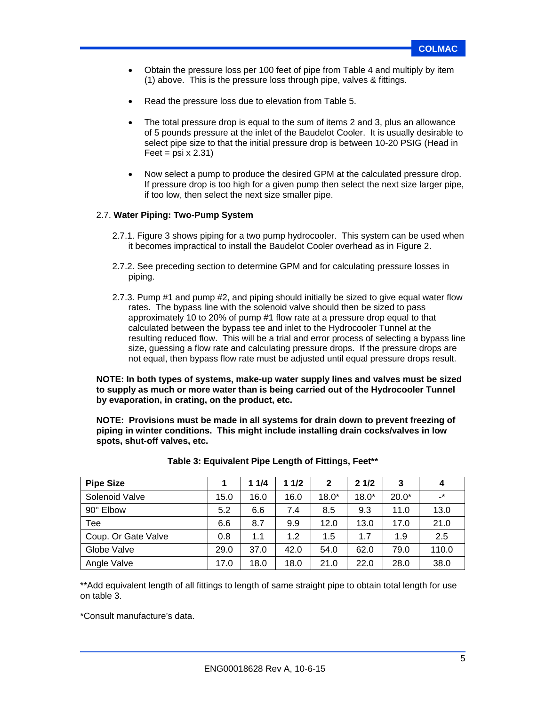- Obtain the pressure loss per 100 feet of pipe from Table 4 and multiply by item (1) above. This is the pressure loss through pipe, valves & fittings.
- Read the pressure loss due to elevation from Table 5.
- The total pressure drop is equal to the sum of items 2 and 3, plus an allowance of 5 pounds pressure at the inlet of the Baudelot Cooler. It is usually desirable to select pipe size to that the initial pressure drop is between 10-20 PSIG (Head in Feet =  $psi \times 2.31$ )
- Now select a pump to produce the desired GPM at the calculated pressure drop. If pressure drop is too high for a given pump then select the next size larger pipe, if too low, then select the next size smaller pipe.

### 2.7. **Water Piping: Two-Pump System**

- 2.7.1. Figure 3 shows piping for a two pump hydrocooler. This system can be used when it becomes impractical to install the Baudelot Cooler overhead as in Figure 2.
- 2.7.2. See preceding section to determine GPM and for calculating pressure losses in piping.
- 2.7.3. Pump #1 and pump #2, and piping should initially be sized to give equal water flow rates. The bypass line with the solenoid valve should then be sized to pass approximately 10 to 20% of pump #1 flow rate at a pressure drop equal to that calculated between the bypass tee and inlet to the Hydrocooler Tunnel at the resulting reduced flow. This will be a trial and error process of selecting a bypass line size, guessing a flow rate and calculating pressure drops. If the pressure drops are not equal, then bypass flow rate must be adjusted until equal pressure drops result.

**NOTE: In both types of systems, make-up water supply lines and valves must be sized to supply as much or more water than is being carried out of the Hydrocooler Tunnel by evaporation, in crating, on the product, etc.** 

**NOTE: Provisions must be made in all systems for drain down to prevent freezing of piping in winter conditions. This might include installing drain cocks/valves in low spots, shut-off valves, etc.** 

| <b>Pipe Size</b>    |      | 11/4 | 11/2 | $\mathbf{2}$ | 21/2    | 3       | 4         |
|---------------------|------|------|------|--------------|---------|---------|-----------|
| Solenoid Valve      | 15.0 | 16.0 | 16.0 | $18.0*$      | $18.0*$ | $20.0*$ | $\cdot^*$ |
| 90° Elbow           | 5.2  | 6.6  | 7.4  | 8.5          | 9.3     | 11.0    | 13.0      |
| Tee                 | 6.6  | 8.7  | 9.9  | 12.0         | 13.0    | 17.0    | 21.0      |
| Coup. Or Gate Valve | 0.8  | 1.1  | 1.2  | 1.5          | 1.7     | 1.9     | 2.5       |
| Globe Valve         | 29.0 | 37.0 | 42.0 | 54.0         | 62.0    | 79.0    | 110.0     |
| Angle Valve         | 17.0 | 18.0 | 18.0 | 21.0         | 22.0    | 28.0    | 38.0      |

\*\*Add equivalent length of all fittings to length of same straight pipe to obtain total length for use on table 3.

\*Consult manufacture's data.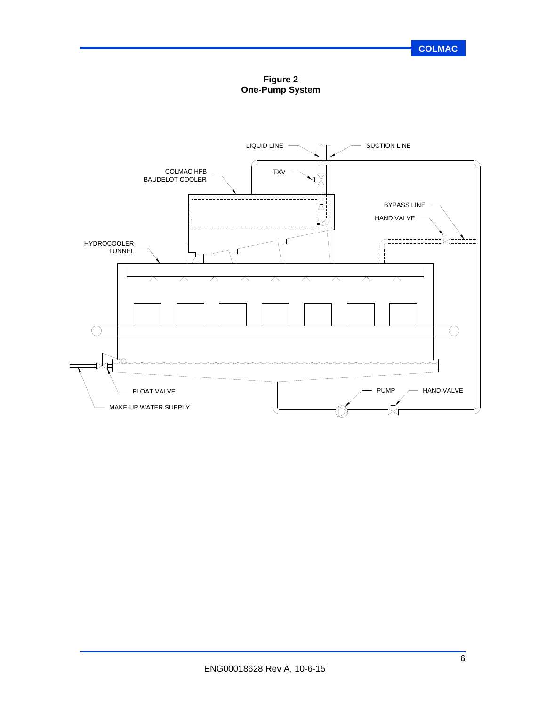**Figure 2 One-Pump System**

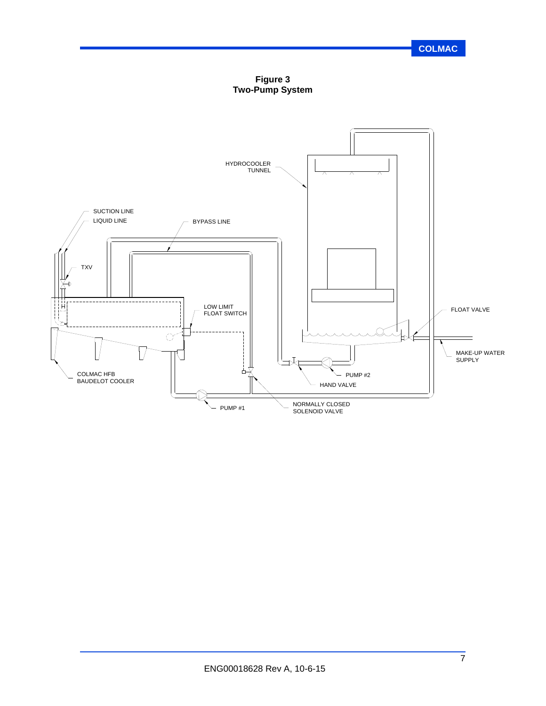**Figure 3 Two-Pump System**

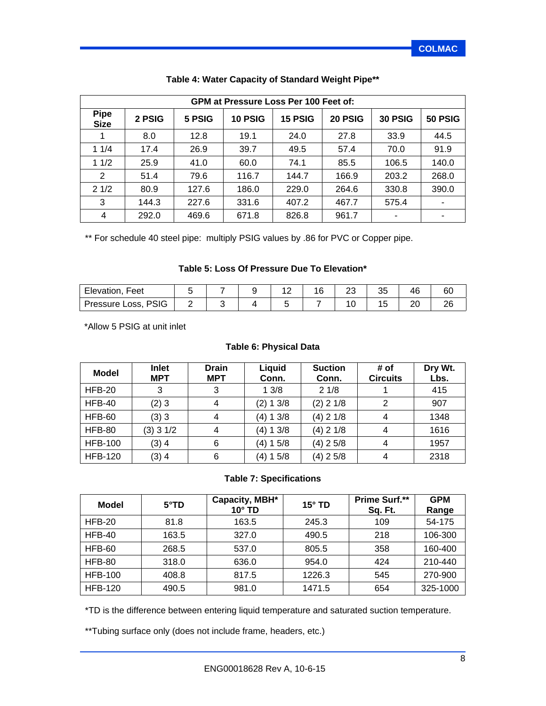|                            | <b>GPM at Pressure Loss Per 100 Feet of:</b> |        |         |         |         |         |                          |  |  |  |  |  |
|----------------------------|----------------------------------------------|--------|---------|---------|---------|---------|--------------------------|--|--|--|--|--|
| <b>Pipe</b><br><b>Size</b> | 2 PSIG                                       | 5 PSIG | 10 PSIG | 15 PSIG | 20 PSIG | 30 PSIG | 50 PSIG                  |  |  |  |  |  |
| 1                          | 8.0                                          | 12.8   | 19.1    | 24.0    | 27.8    | 33.9    | 44.5                     |  |  |  |  |  |
| 11/4                       | 17.4                                         | 26.9   | 39.7    | 49.5    | 57.4    | 70.0    | 91.9                     |  |  |  |  |  |
| 11/2                       | 25.9                                         | 41.0   | 60.0    | 74.1    | 85.5    | 106.5   | 140.0                    |  |  |  |  |  |
| 2                          | 51.4                                         | 79.6   | 116.7   | 144.7   | 166.9   | 203.2   | 268.0                    |  |  |  |  |  |
| 21/2                       | 80.9                                         | 127.6  | 186.0   | 229.0   | 264.6   | 330.8   | 390.0                    |  |  |  |  |  |
| 3                          | 144.3                                        | 227.6  | 331.6   | 407.2   | 467.7   | 575.4   | $\overline{\phantom{a}}$ |  |  |  |  |  |
| 4                          | 292.0                                        | 469.6  | 671.8   | 826.8   | 961.7   | ۰       | ٠                        |  |  |  |  |  |

## **Table 4: Water Capacity of Standard Weight Pipe\*\***

\*\* For schedule 40 steel pipe: multiply PSIG values by .86 for PVC or Copper pipe.

#### **Table 5: Loss Of Pressure Due To Elevation\***

| Elevation, Feet     |  | - | $\overline{ }$ | $\mathbf{r}$<br>ັບ | тν | ьυ |
|---------------------|--|---|----------------|--------------------|----|----|
| Pressure Loss, PSIG |  |   |                |                    | ∠∪ | ∠∪ |

\*Allow 5 PSIG at unit inlet

### **Table 6: Physical Data**

| <b>Model</b>   | <b>Inlet</b><br><b>MPT</b> | <b>Drain</b><br><b>MPT</b> | Liquid<br>Conn. | <b>Suction</b><br>Conn. | # of<br><b>Circuits</b> | Dry Wt.<br>Lbs. |
|----------------|----------------------------|----------------------------|-----------------|-------------------------|-------------------------|-----------------|
| HFB-20         | 3                          | 3                          | 13/8            | 21/8                    |                         | 415             |
| <b>HFB-40</b>  | (2)3                       | 4                          | (2) 1 3/8       | $(2)$ 2 1/8             | 2                       | 907             |
| <b>HFB-60</b>  | (3)3                       | 4                          | (4) 1 3/8       | $(4)$ 2 1/8             | 4                       | 1348            |
| <b>HFB-80</b>  | $(3)$ 3 1/2                | 4                          | (4) 1 3/8       | $(4)$ 2 1/8             | 4                       | 1616            |
| <b>HFB-100</b> | $(3)$ 4                    | 6                          | (4) 1 5/8       | $(4)$ 2 5/8             | 4                       | 1957            |
| <b>HFB-120</b> | $(3)$ 4                    | 6                          | (4) 1 5/8       | (4) 2 5/8               | 4                       | 2318            |

#### **Table 7: Specifications**

| <b>Model</b>   | $5^{\circ}$ TD | Capacity, MBH*<br>$10^\circ$ TD | $15^\circ$ TD | <b>Prime Surf.**</b><br>Sq. Ft. | <b>GPM</b><br>Range |
|----------------|----------------|---------------------------------|---------------|---------------------------------|---------------------|
| $HEB-20$       | 81.8           | 163.5                           | 245.3         | 109                             | 54-175              |
| $HEB-40$       | 163.5          | 327.0                           | 490.5         | 218                             | 106-300             |
| <b>HFB-60</b>  | 268.5          | 537.0                           | 805.5         | 358                             | 160-400             |
| <b>HFB-80</b>  | 318.0          | 636.0                           | 954.0         | 424                             | 210-440             |
| <b>HFB-100</b> | 408.8          | 817.5                           | 1226.3        | 545                             | 270-900             |
| <b>HFB-120</b> | 490.5          | 981.0                           | 1471.5        | 654                             | 325-1000            |

\*TD is the difference between entering liquid temperature and saturated suction temperature.

\*\*Tubing surface only (does not include frame, headers, etc.)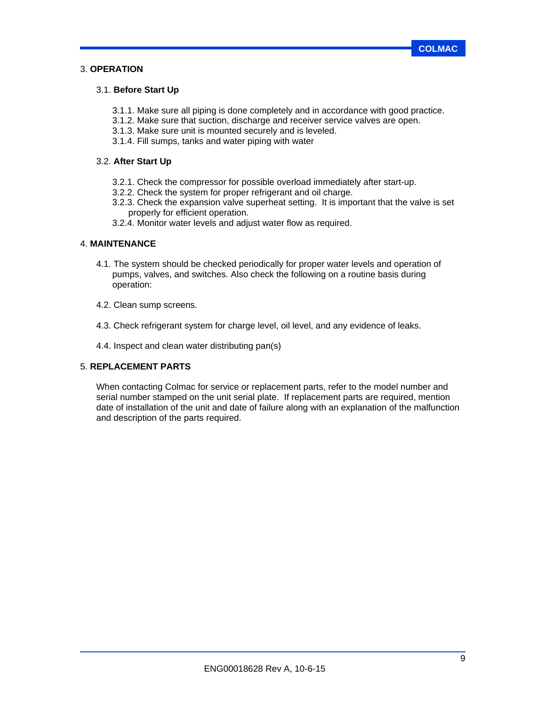### 3. **OPERATION**

### 3.1. **Before Start Up**

- 3.1.1. Make sure all piping is done completely and in accordance with good practice.
- 3.1.2. Make sure that suction, discharge and receiver service valves are open.
- 3.1.3. Make sure unit is mounted securely and is leveled.
- 3.1.4. Fill sumps, tanks and water piping with water

### 3.2. **After Start Up**

- 3.2.1. Check the compressor for possible overload immediately after start-up.
- 3.2.2. Check the system for proper refrigerant and oil charge.
- 3.2.3. Check the expansion valve superheat setting. It is important that the valve is set properly for efficient operation.
- 3.2.4. Monitor water levels and adjust water flow as required.

#### 4. **MAINTENANCE**

- 4.1. The system should be checked periodically for proper water levels and operation of pumps, valves, and switches. Also check the following on a routine basis during operation:
- 4.2. Clean sump screens.
- 4.3. Check refrigerant system for charge level, oil level, and any evidence of leaks.
- 4.4. Inspect and clean water distributing pan(s)

### 5. **REPLACEMENT PARTS**

When contacting Colmac for service or replacement parts, refer to the model number and serial number stamped on the unit serial plate. If replacement parts are required, mention date of installation of the unit and date of failure along with an explanation of the malfunction and description of the parts required.